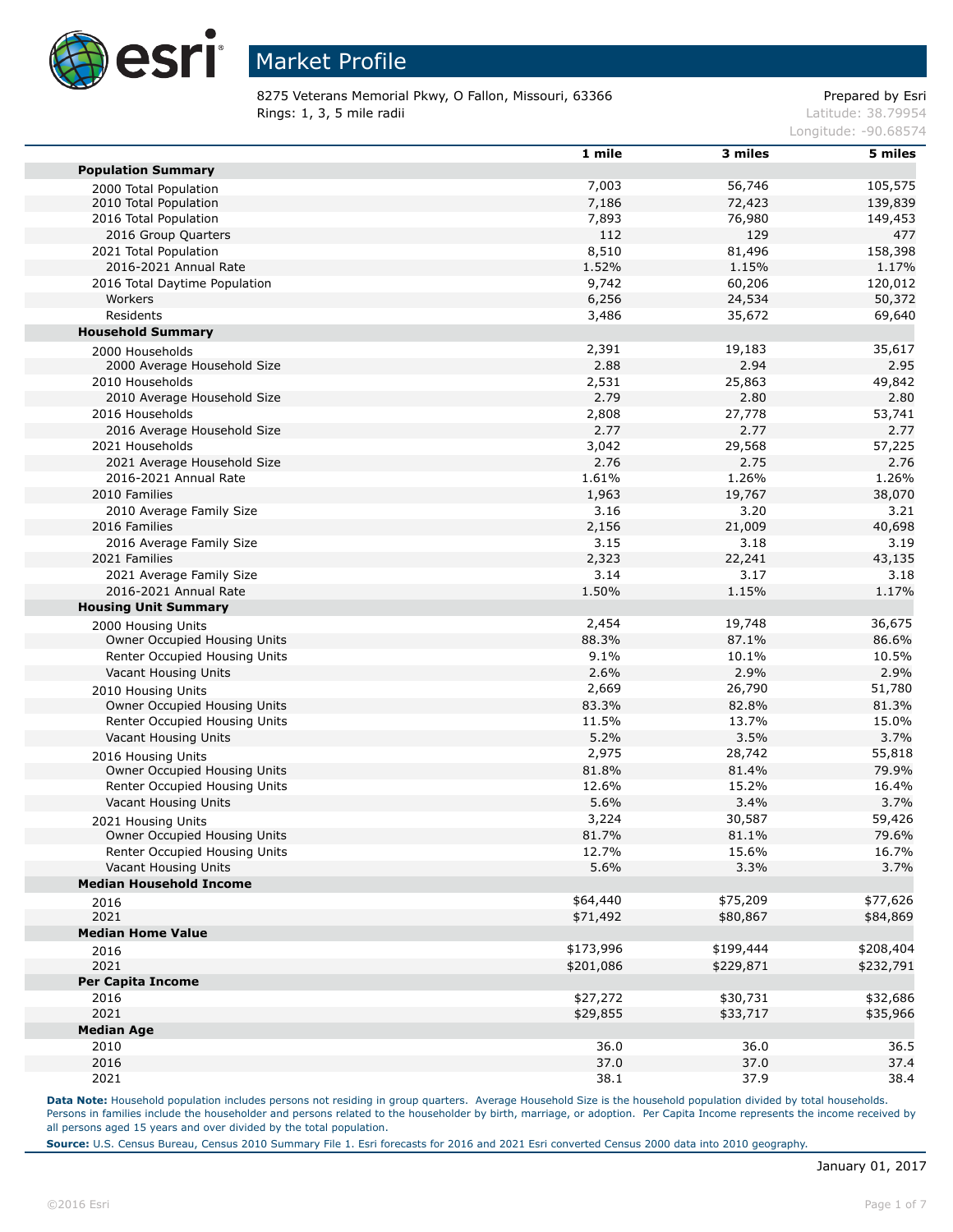

8275 Veterans Memorial Pkwy, O Fallon, Missouri, 63366 Prepared by Esri Rings: 1, 3, 5 mile radii and the state of the state of the contract of the latitude: 38.79954

Longitude: -90.68574

|                                                    | 1 mile         | 3 miles          | 5 miles            |
|----------------------------------------------------|----------------|------------------|--------------------|
| <b>Population Summary</b>                          | 7,003          |                  |                    |
| 2000 Total Population                              |                | 56,746           | 105,575            |
| 2010 Total Population<br>2016 Total Population     | 7,186<br>7,893 | 72,423<br>76,980 | 139,839<br>149,453 |
| 2016 Group Quarters                                | 112            | 129              | 477                |
| 2021 Total Population                              | 8,510          | 81,496           |                    |
|                                                    | 1.52%          |                  | 158,398            |
| 2016-2021 Annual Rate                              |                | 1.15%            | 1.17%<br>120,012   |
| 2016 Total Daytime Population                      | 9,742          | 60,206           |                    |
| Workers                                            | 6,256          | 24,534           | 50,372             |
| Residents                                          | 3,486          | 35,672           | 69,640             |
| <b>Household Summary</b>                           |                |                  |                    |
| 2000 Households                                    | 2,391          | 19,183           | 35,617             |
| 2000 Average Household Size                        | 2.88           | 2.94             | 2.95               |
| 2010 Households                                    | 2,531          | 25,863           | 49,842             |
| 2010 Average Household Size                        | 2.79           | 2.80             | 2.80               |
| 2016 Households                                    | 2,808          | 27,778           | 53,741             |
| 2016 Average Household Size                        | 2.77           | 2.77             | 2.77               |
| 2021 Households                                    | 3,042          | 29,568           | 57,225             |
| 2021 Average Household Size                        | 2.76           | 2.75             | 2.76               |
| 2016-2021 Annual Rate                              | 1.61%          | 1.26%            | 1.26%              |
| 2010 Families                                      | 1,963          | 19,767           | 38,070             |
| 2010 Average Family Size                           | 3.16           | 3.20             | 3.21               |
| 2016 Families                                      | 2,156          | 21,009           | 40,698             |
| 2016 Average Family Size                           | 3.15           | 3.18             | 3.19               |
| 2021 Families                                      | 2,323          | 22,241           | 43,135             |
| 2021 Average Family Size                           | 3.14           | 3.17             | 3.18               |
| 2016-2021 Annual Rate                              | 1.50%          | 1.15%            | 1.17%              |
| <b>Housing Unit Summary</b>                        |                |                  |                    |
| 2000 Housing Units                                 | 2,454          | 19,748           | 36,675             |
| Owner Occupied Housing Units                       | 88.3%          | 87.1%            | 86.6%              |
| Renter Occupied Housing Units                      | 9.1%           | 10.1%            | 10.5%              |
| Vacant Housing Units                               | 2.6%           | 2.9%             | 2.9%               |
| 2010 Housing Units                                 | 2,669          | 26,790           | 51,780             |
| Owner Occupied Housing Units                       | 83.3%          | 82.8%            | 81.3%              |
| Renter Occupied Housing Units                      | 11.5%          | 13.7%            | 15.0%              |
| Vacant Housing Units                               | 5.2%           | 3.5%             | 3.7%               |
|                                                    | 2,975          | 28,742           | 55,818             |
| 2016 Housing Units<br>Owner Occupied Housing Units | 81.8%          | 81.4%            | 79.9%              |
| Renter Occupied Housing Units                      | 12.6%          | 15.2%            | 16.4%              |
| Vacant Housing Units                               | 5.6%           | 3.4%             | 3.7%               |
|                                                    |                |                  |                    |
| 2021 Housing Units                                 | 3,224          | 30,587           | 59,426             |
| Owner Occupied Housing Units                       | 81.7%          | 81.1%            | 79.6%              |
| Renter Occupied Housing Units                      | 12.7%          | 15.6%            | 16.7%              |
| Vacant Housing Units                               | 5.6%           | 3.3%             | 3.7%               |
| <b>Median Household Income</b>                     |                |                  |                    |
| 2016                                               | \$64,440       | \$75,209         | \$77,626           |
| 2021                                               | \$71,492       | \$80,867         | \$84,869           |
| <b>Median Home Value</b>                           |                |                  |                    |
| 2016                                               | \$173,996      | \$199,444        | \$208,404          |
| 2021                                               | \$201,086      | \$229,871        | \$232,791          |
| <b>Per Capita Income</b>                           |                |                  |                    |
| 2016                                               | \$27,272       | \$30,731         | \$32,686           |
| 2021                                               | \$29,855       | \$33,717         | \$35,966           |
| <b>Median Age</b>                                  |                |                  |                    |
| 2010                                               | 36.0           | 36.0             | 36.5               |
| 2016                                               | 37.0           | 37.0             | 37.4               |
| 2021                                               | 38.1           | 37.9             | 38.4               |

Data Note: Household population includes persons not residing in group quarters. Average Household Size is the household population divided by total households. Persons in families include the householder and persons related to the householder by birth, marriage, or adoption. Per Capita Income represents the income received by all persons aged 15 years and over divided by the total population.

**Source:** U.S. Census Bureau, Census 2010 Summary File 1. Esri forecasts for 2016 and 2021 Esri converted Census 2000 data into 2010 geography.

п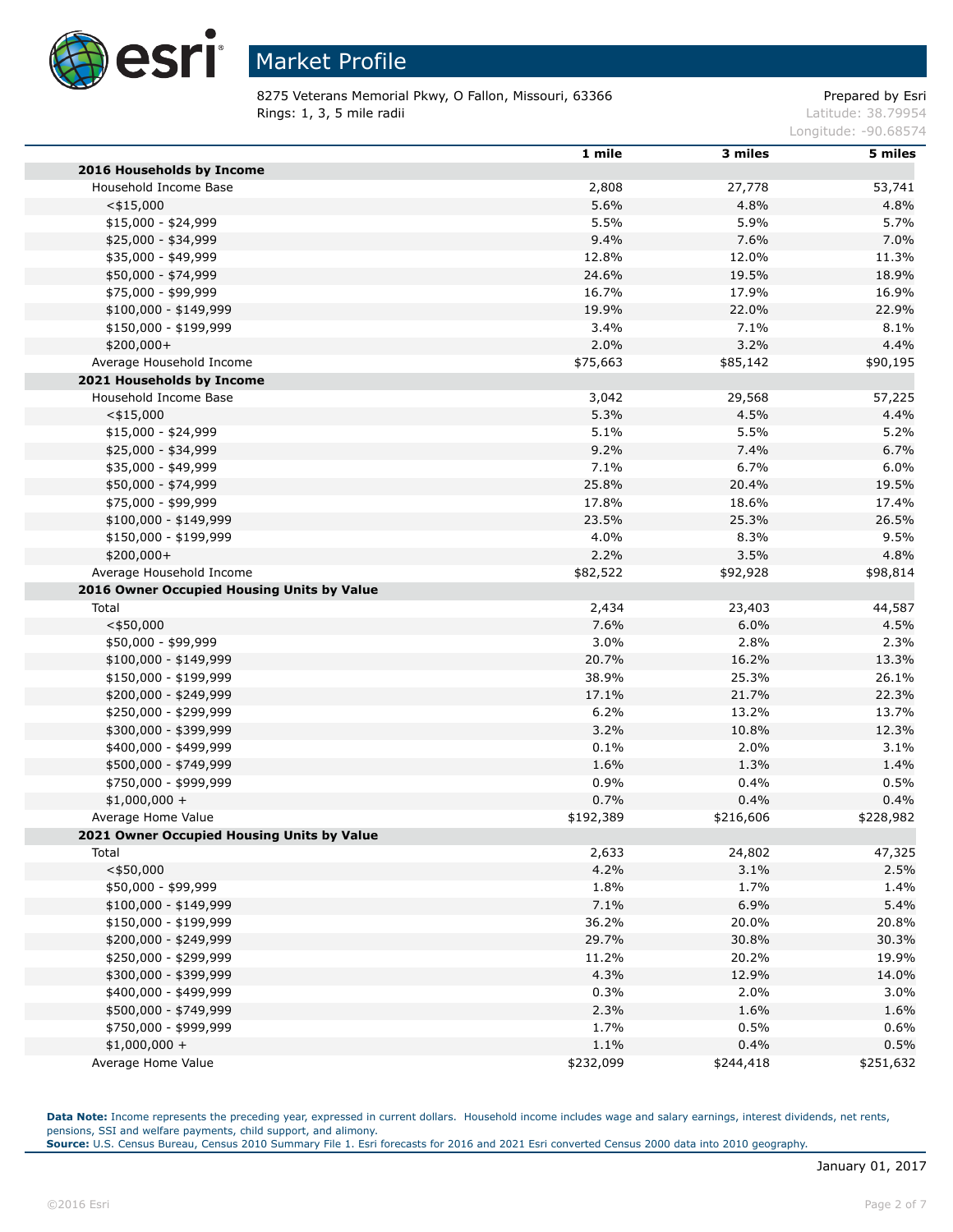

# Market Profile

8275 Veterans Memorial Pkwy, O Fallon, Missouri, 63366 Prepared by Esri Rings: 1, 3, 5 mile radii and the state of the state of the contract of the latitude: 38.79954

Longitude: -90.68574

|                                            | 1 mile    | 3 miles   | 5 miles   |
|--------------------------------------------|-----------|-----------|-----------|
| 2016 Households by Income                  |           |           |           |
| Household Income Base                      | 2,808     | 27,778    | 53,741    |
| $<$ \$15,000                               | 5.6%      | 4.8%      | 4.8%      |
| \$15,000 - \$24,999                        | 5.5%      | 5.9%      | 5.7%      |
| \$25,000 - \$34,999                        | 9.4%      | 7.6%      | 7.0%      |
| \$35,000 - \$49,999                        | 12.8%     | 12.0%     | 11.3%     |
| \$50,000 - \$74,999                        | 24.6%     | 19.5%     | 18.9%     |
| \$75,000 - \$99,999                        | 16.7%     | 17.9%     | 16.9%     |
| $$100,000 - $149,999$                      | 19.9%     | 22.0%     | 22.9%     |
| \$150,000 - \$199,999                      | 3.4%      | 7.1%      | 8.1%      |
| \$200,000+                                 | 2.0%      | 3.2%      | 4.4%      |
| Average Household Income                   | \$75,663  | \$85,142  | \$90,195  |
| 2021 Households by Income                  |           |           |           |
| Household Income Base                      | 3,042     | 29,568    | 57,225    |
| $<$ \$15,000                               | 5.3%      | 4.5%      | 4.4%      |
| \$15,000 - \$24,999                        | 5.1%      | 5.5%      | 5.2%      |
| \$25,000 - \$34,999                        | 9.2%      | 7.4%      | 6.7%      |
| \$35,000 - \$49,999                        | 7.1%      | 6.7%      | 6.0%      |
| \$50,000 - \$74,999                        | 25.8%     | 20.4%     | 19.5%     |
| \$75,000 - \$99,999                        | 17.8%     | 18.6%     | 17.4%     |
| $$100,000 - $149,999$                      | 23.5%     | 25.3%     | 26.5%     |
| \$150,000 - \$199,999                      | 4.0%      | 8.3%      | 9.5%      |
| \$200,000+                                 | 2.2%      | 3.5%      | 4.8%      |
| Average Household Income                   | \$82,522  | \$92,928  | \$98,814  |
| 2016 Owner Occupied Housing Units by Value |           |           |           |
| Total                                      | 2,434     | 23,403    | 44,587    |
| $<$ \$50,000                               | 7.6%      | 6.0%      | 4.5%      |
| \$50,000 - \$99,999                        | 3.0%      | 2.8%      | 2.3%      |
| $$100,000 - $149,999$                      | 20.7%     | 16.2%     | 13.3%     |
| \$150,000 - \$199,999                      | 38.9%     | 25.3%     | 26.1%     |
| \$200,000 - \$249,999                      | 17.1%     | 21.7%     | 22.3%     |
| \$250,000 - \$299,999                      | 6.2%      | 13.2%     | 13.7%     |
| \$300,000 - \$399,999                      | 3.2%      | 10.8%     | 12.3%     |
| \$400,000 - \$499,999                      | 0.1%      | 2.0%      | 3.1%      |
| \$500,000 - \$749,999                      | 1.6%      | 1.3%      | 1.4%      |
| \$750,000 - \$999,999                      | 0.9%      | 0.4%      | 0.5%      |
| $$1,000,000 +$                             | 0.7%      | 0.4%      | 0.4%      |
| Average Home Value                         | \$192,389 | \$216,606 | \$228,982 |
| 2021 Owner Occupied Housing Units by Value |           |           |           |
| Total                                      | 2,633     | 24,802    | 47,325    |
| $<$ \$50,000                               | 4.2%      | 3.1%      | 2.5%      |
| \$50,000 - \$99,999                        | 1.8%      | 1.7%      | 1.4%      |
| \$100,000 - \$149,999                      | 7.1%      | 6.9%      | 5.4%      |
| \$150,000 - \$199,999                      | 36.2%     | 20.0%     | 20.8%     |
| \$200,000 - \$249,999                      | 29.7%     | 30.8%     | 30.3%     |
| \$250,000 - \$299,999                      | 11.2%     | 20.2%     | 19.9%     |
| \$300,000 - \$399,999                      | 4.3%      | 12.9%     | 14.0%     |
| \$400,000 - \$499,999                      | 0.3%      | 2.0%      | 3.0%      |
| \$500,000 - \$749,999                      | 2.3%      | 1.6%      | 1.6%      |
| \$750,000 - \$999,999                      | 1.7%      | 0.5%      | 0.6%      |
| $$1,000,000 +$                             | 1.1%      | 0.4%      | 0.5%      |
| Average Home Value                         | \$232,099 | \$244,418 | \$251,632 |

Data Note: Income represents the preceding year, expressed in current dollars. Household income includes wage and salary earnings, interest dividends, net rents, pensions, SSI and welfare payments, child support, and alimony.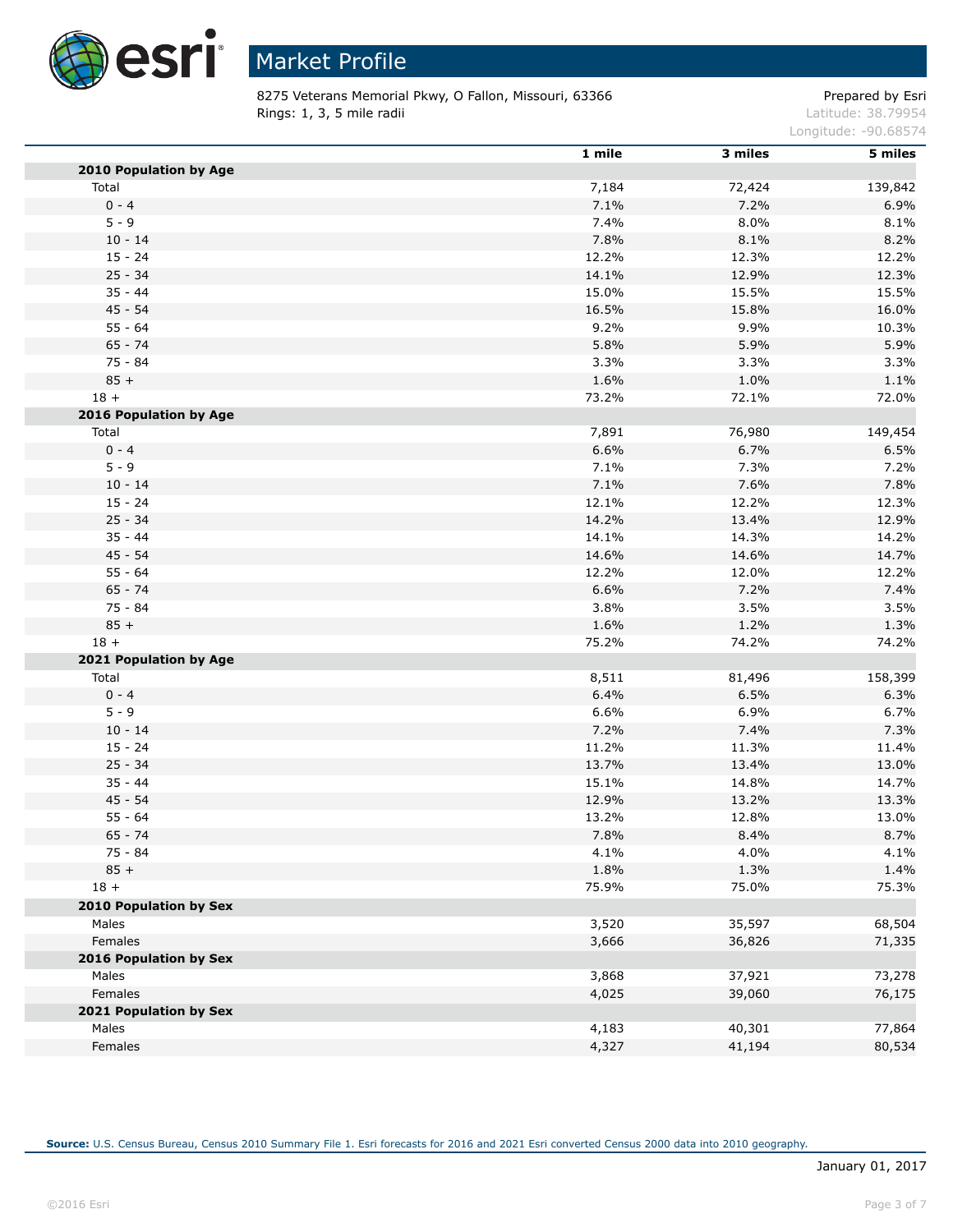

8275 Veterans Memorial Pkwy, O Fallon, Missouri, 63366 Prepared by Esri Rings: 1, 3, 5 mile radii and the state of the state of the contract of the latitude: 38.79954

Longitude: -90.68574

|                               | 1 mile | 3 miles | 5 miles |
|-------------------------------|--------|---------|---------|
| <b>2010 Population by Age</b> |        |         |         |
| Total                         | 7,184  | 72,424  | 139,842 |
| $0 - 4$                       | 7.1%   | 7.2%    | 6.9%    |
| $5 - 9$                       | 7.4%   | 8.0%    | 8.1%    |
| $10 - 14$                     | 7.8%   | 8.1%    | 8.2%    |
| $15 - 24$                     | 12.2%  | 12.3%   | 12.2%   |
| $25 - 34$                     | 14.1%  | 12.9%   | 12.3%   |
| $35 - 44$                     | 15.0%  | 15.5%   | 15.5%   |
| $45 - 54$                     | 16.5%  | 15.8%   | 16.0%   |
| $55 - 64$                     | 9.2%   | 9.9%    | 10.3%   |
| $65 - 74$                     | 5.8%   | 5.9%    | 5.9%    |
| $75 - 84$                     | 3.3%   | 3.3%    | 3.3%    |
| $85 +$                        | 1.6%   | 1.0%    | 1.1%    |
| $18 +$                        | 73.2%  | 72.1%   | 72.0%   |
| 2016 Population by Age        |        |         |         |
| Total                         | 7,891  | 76,980  | 149,454 |
| $0 - 4$                       | 6.6%   | 6.7%    | 6.5%    |
| $5 - 9$                       | 7.1%   | 7.3%    | 7.2%    |
| $10 - 14$                     | 7.1%   | 7.6%    | 7.8%    |
| $15 - 24$                     | 12.1%  | 12.2%   | 12.3%   |
| $25 - 34$                     | 14.2%  | 13.4%   | 12.9%   |
| $35 - 44$                     | 14.1%  | 14.3%   | 14.2%   |
| 45 - 54                       | 14.6%  | 14.6%   | 14.7%   |
| $55 - 64$                     | 12.2%  | 12.0%   | 12.2%   |
| $65 - 74$                     | 6.6%   | 7.2%    | 7.4%    |
| $75 - 84$                     | 3.8%   | 3.5%    | 3.5%    |
| $85 +$                        | 1.6%   | 1.2%    | 1.3%    |
| $18 +$                        | 75.2%  | 74.2%   | 74.2%   |
| 2021 Population by Age        |        |         |         |
| Total                         | 8,511  | 81,496  | 158,399 |
| $0 - 4$                       | 6.4%   | 6.5%    | 6.3%    |
| $5 - 9$                       | 6.6%   | 6.9%    | 6.7%    |
| $10 - 14$                     | 7.2%   | 7.4%    | 7.3%    |
| $15 - 24$                     | 11.2%  | 11.3%   | 11.4%   |
| $25 - 34$                     | 13.7%  | 13.4%   | 13.0%   |
| $35 - 44$                     | 15.1%  | 14.8%   | 14.7%   |
| 45 - 54                       | 12.9%  | 13.2%   | 13.3%   |
| $55 - 64$                     | 13.2%  | 12.8%   | 13.0%   |
| $65 - 74$                     | 7.8%   | 8.4%    | 8.7%    |
| 75 - 84                       | 4.1%   | 4.0%    | 4.1%    |
| $85 +$                        | 1.8%   | 1.3%    | 1.4%    |
| $18 +$                        | 75.9%  | 75.0%   | 75.3%   |
| <b>2010 Population by Sex</b> |        |         |         |
| Males                         | 3,520  | 35,597  | 68,504  |
| Females                       | 3,666  | 36,826  | 71,335  |
| 2016 Population by Sex        |        |         |         |
| Males                         |        |         |         |
|                               | 3,868  | 37,921  | 73,278  |
| Females                       | 4,025  | 39,060  | 76,175  |
| 2021 Population by Sex        |        |         |         |
| Males                         | 4,183  | 40,301  | 77,864  |
| Females                       | 4,327  | 41,194  | 80,534  |

**Source:** U.S. Census Bureau, Census 2010 Summary File 1. Esri forecasts for 2016 and 2021 Esri converted Census 2000 data into 2010 geography.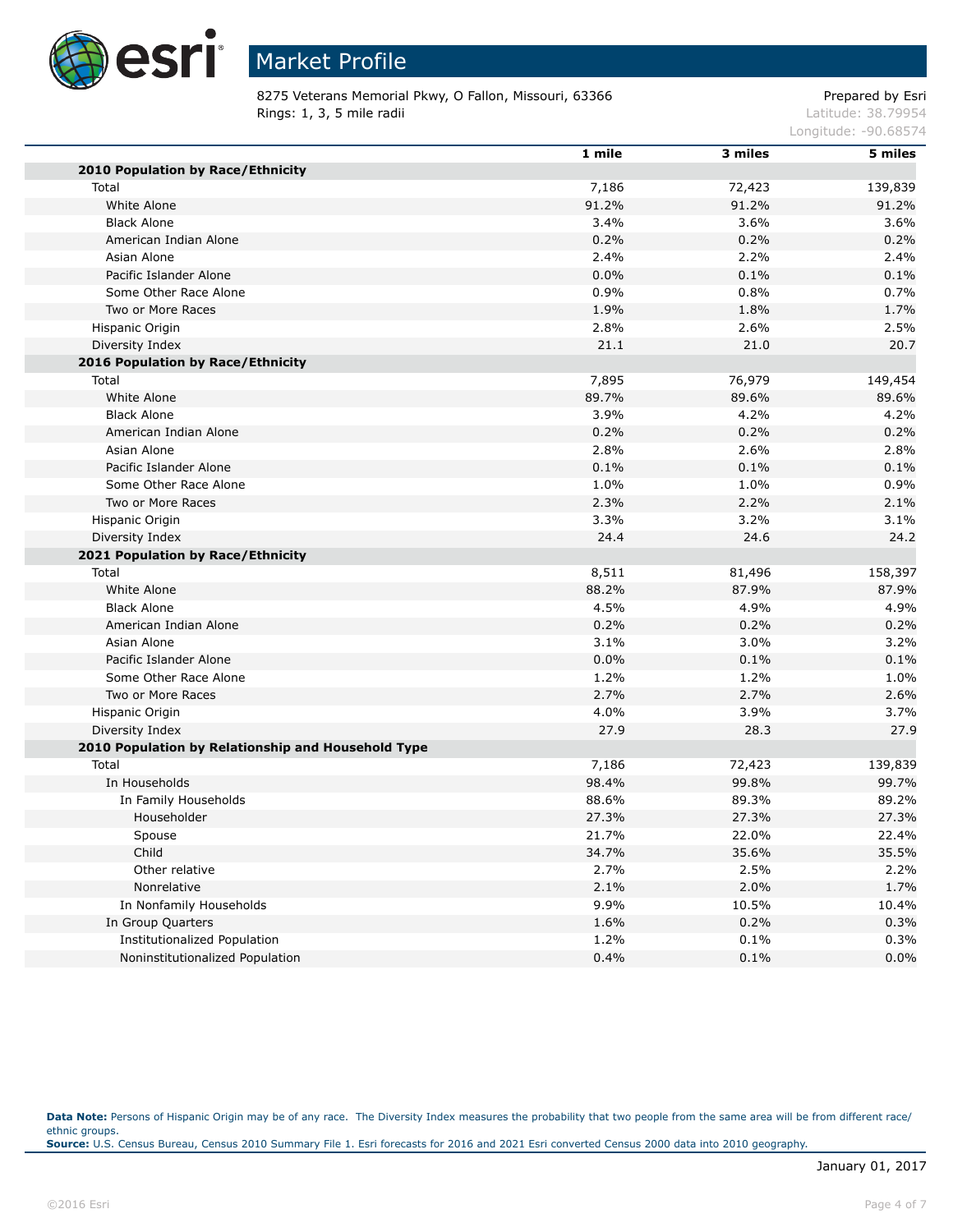

# Market Profile

8275 Veterans Memorial Pkwy, O Fallon, Missouri, 63366 Prepared by Esri Rings: 1, 3, 5 mile radii and the state of the state of the contract of the latitude: 38.79954

Longitude: -90.68574

|                                                    | 1 mile | 3 miles | 5 miles |
|----------------------------------------------------|--------|---------|---------|
| 2010 Population by Race/Ethnicity                  |        |         |         |
| Total                                              | 7,186  | 72,423  | 139,839 |
| White Alone                                        | 91.2%  | 91.2%   | 91.2%   |
| <b>Black Alone</b>                                 | 3.4%   | 3.6%    | 3.6%    |
| American Indian Alone                              | 0.2%   | 0.2%    | 0.2%    |
| Asian Alone                                        | 2.4%   | 2.2%    | 2.4%    |
| Pacific Islander Alone                             | 0.0%   | 0.1%    | 0.1%    |
| Some Other Race Alone                              | 0.9%   | 0.8%    | 0.7%    |
| Two or More Races                                  | 1.9%   | 1.8%    | 1.7%    |
| Hispanic Origin                                    | 2.8%   | 2.6%    | 2.5%    |
| Diversity Index                                    | 21.1   | 21.0    | 20.7    |
| 2016 Population by Race/Ethnicity                  |        |         |         |
| Total                                              | 7,895  | 76,979  | 149,454 |
| White Alone                                        | 89.7%  | 89.6%   | 89.6%   |
| <b>Black Alone</b>                                 | 3.9%   | 4.2%    | 4.2%    |
| American Indian Alone                              | 0.2%   | 0.2%    | 0.2%    |
| Asian Alone                                        | 2.8%   | 2.6%    | 2.8%    |
| Pacific Islander Alone                             | 0.1%   | 0.1%    | 0.1%    |
| Some Other Race Alone                              | 1.0%   | 1.0%    | 0.9%    |
| Two or More Races                                  | 2.3%   | 2.2%    | 2.1%    |
| Hispanic Origin                                    | 3.3%   | 3.2%    | 3.1%    |
| Diversity Index                                    | 24.4   | 24.6    | 24.2    |
| 2021 Population by Race/Ethnicity                  |        |         |         |
| Total                                              | 8,511  | 81,496  | 158,397 |
| White Alone                                        | 88.2%  | 87.9%   | 87.9%   |
| <b>Black Alone</b>                                 | 4.5%   | 4.9%    | 4.9%    |
| American Indian Alone                              | 0.2%   | 0.2%    | 0.2%    |
| Asian Alone                                        | 3.1%   | 3.0%    | 3.2%    |
| Pacific Islander Alone                             | 0.0%   | 0.1%    | 0.1%    |
| Some Other Race Alone                              | 1.2%   | 1.2%    | 1.0%    |
| Two or More Races                                  | 2.7%   | 2.7%    | 2.6%    |
| Hispanic Origin                                    | 4.0%   | 3.9%    | 3.7%    |
| Diversity Index                                    | 27.9   | 28.3    | 27.9    |
| 2010 Population by Relationship and Household Type |        |         |         |
| Total                                              | 7,186  | 72,423  | 139,839 |
| In Households                                      | 98.4%  | 99.8%   | 99.7%   |
| In Family Households                               | 88.6%  | 89.3%   | 89.2%   |
| Householder                                        | 27.3%  | 27.3%   | 27.3%   |
| Spouse                                             | 21.7%  | 22.0%   | 22.4%   |
| Child                                              | 34.7%  | 35.6%   | 35.5%   |
| Other relative                                     | 2.7%   | 2.5%    | 2.2%    |
| Nonrelative                                        | 2.1%   | 2.0%    | 1.7%    |
| In Nonfamily Households                            | 9.9%   | 10.5%   | 10.4%   |
| In Group Quarters                                  | 1.6%   | 0.2%    | 0.3%    |
| <b>Institutionalized Population</b>                | 1.2%   | 0.1%    | 0.3%    |
| Noninstitutionalized Population                    | 0.4%   | 0.1%    | 0.0%    |

Data Note: Persons of Hispanic Origin may be of any race. The Diversity Index measures the probability that two people from the same area will be from different race/ ethnic groups. **Source:** U.S. Census Bureau, Census 2010 Summary File 1. Esri forecasts for 2016 and 2021 Esri converted Census 2000 data into 2010 geography.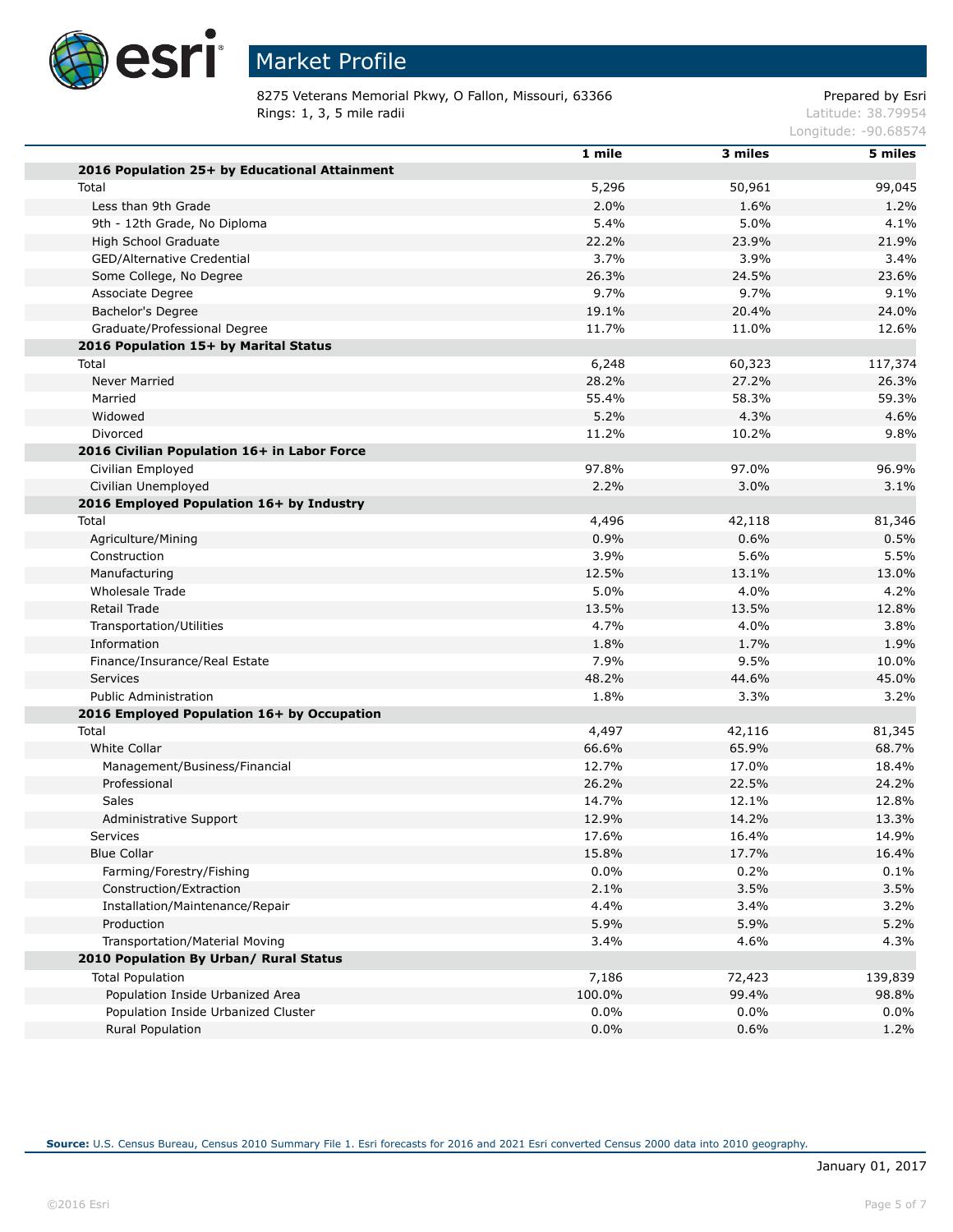

# Market Profile

8275 Veterans Memorial Pkwy, O Fallon, Missouri, 63366 Prepared by Esri Rings: 1, 3, 5 mile radii and the state of the state of the contract of the latitude: 38.79954

Longitude: -90.68574

|                                               | 1 mile | 3 miles | 5 miles |
|-----------------------------------------------|--------|---------|---------|
| 2016 Population 25+ by Educational Attainment |        |         |         |
| Total                                         | 5,296  | 50,961  | 99,045  |
| Less than 9th Grade                           | 2.0%   | 1.6%    | 1.2%    |
| 9th - 12th Grade, No Diploma                  | 5.4%   | 5.0%    | 4.1%    |
| High School Graduate                          | 22.2%  | 23.9%   | 21.9%   |
| GED/Alternative Credential                    | 3.7%   | 3.9%    | 3.4%    |
| Some College, No Degree                       | 26.3%  | 24.5%   | 23.6%   |
| Associate Degree                              | 9.7%   | 9.7%    | 9.1%    |
| <b>Bachelor's Degree</b>                      | 19.1%  | 20.4%   | 24.0%   |
| Graduate/Professional Degree                  | 11.7%  | 11.0%   | 12.6%   |
| 2016 Population 15+ by Marital Status         |        |         |         |
| Total                                         | 6,248  | 60,323  | 117,374 |
| Never Married                                 | 28.2%  | 27.2%   | 26.3%   |
| Married                                       | 55.4%  | 58.3%   | 59.3%   |
| Widowed                                       | 5.2%   | 4.3%    | 4.6%    |
| Divorced                                      | 11.2%  | 10.2%   | 9.8%    |
| 2016 Civilian Population 16+ in Labor Force   |        |         |         |
| Civilian Employed                             | 97.8%  | 97.0%   | 96.9%   |
| Civilian Unemployed                           | 2.2%   | 3.0%    | 3.1%    |
| 2016 Employed Population 16+ by Industry      |        |         |         |
| Total                                         | 4,496  | 42,118  | 81,346  |
| Agriculture/Mining                            | 0.9%   | 0.6%    | 0.5%    |
| Construction                                  | 3.9%   | 5.6%    | 5.5%    |
| Manufacturing                                 | 12.5%  | 13.1%   | 13.0%   |
| Wholesale Trade                               | 5.0%   | 4.0%    | 4.2%    |
| Retail Trade                                  | 13.5%  | 13.5%   | 12.8%   |
| Transportation/Utilities                      | 4.7%   | 4.0%    | 3.8%    |
| Information                                   | 1.8%   | 1.7%    | 1.9%    |
| Finance/Insurance/Real Estate                 | 7.9%   | 9.5%    | 10.0%   |
| Services                                      | 48.2%  | 44.6%   | 45.0%   |
| <b>Public Administration</b>                  | 1.8%   | 3.3%    | 3.2%    |
| 2016 Employed Population 16+ by Occupation    |        |         |         |
| Total                                         | 4,497  | 42,116  | 81,345  |
| White Collar                                  | 66.6%  | 65.9%   | 68.7%   |
| Management/Business/Financial                 | 12.7%  | 17.0%   | 18.4%   |
| Professional                                  | 26.2%  | 22.5%   | 24.2%   |
| Sales                                         | 14.7%  | 12.1%   | 12.8%   |
| Administrative Support                        | 12.9%  | 14.2%   | 13.3%   |
| Services                                      | 17.6%  | 16.4%   | 14.9%   |
| <b>Blue Collar</b>                            | 15.8%  | 17.7%   | 16.4%   |
| Farming/Forestry/Fishing                      | 0.0%   | 0.2%    | 0.1%    |
| Construction/Extraction                       | 2.1%   | 3.5%    | 3.5%    |
| Installation/Maintenance/Repair               | 4.4%   | 3.4%    | 3.2%    |
| Production                                    | 5.9%   | 5.9%    | 5.2%    |
| Transportation/Material Moving                | 3.4%   | 4.6%    | 4.3%    |
| 2010 Population By Urban/ Rural Status        |        |         |         |
| <b>Total Population</b>                       | 7,186  | 72,423  | 139,839 |
| Population Inside Urbanized Area              | 100.0% | 99.4%   | 98.8%   |
| Population Inside Urbanized Cluster           | 0.0%   | 0.0%    | $0.0\%$ |
| Rural Population                              | 0.0%   | 0.6%    | 1.2%    |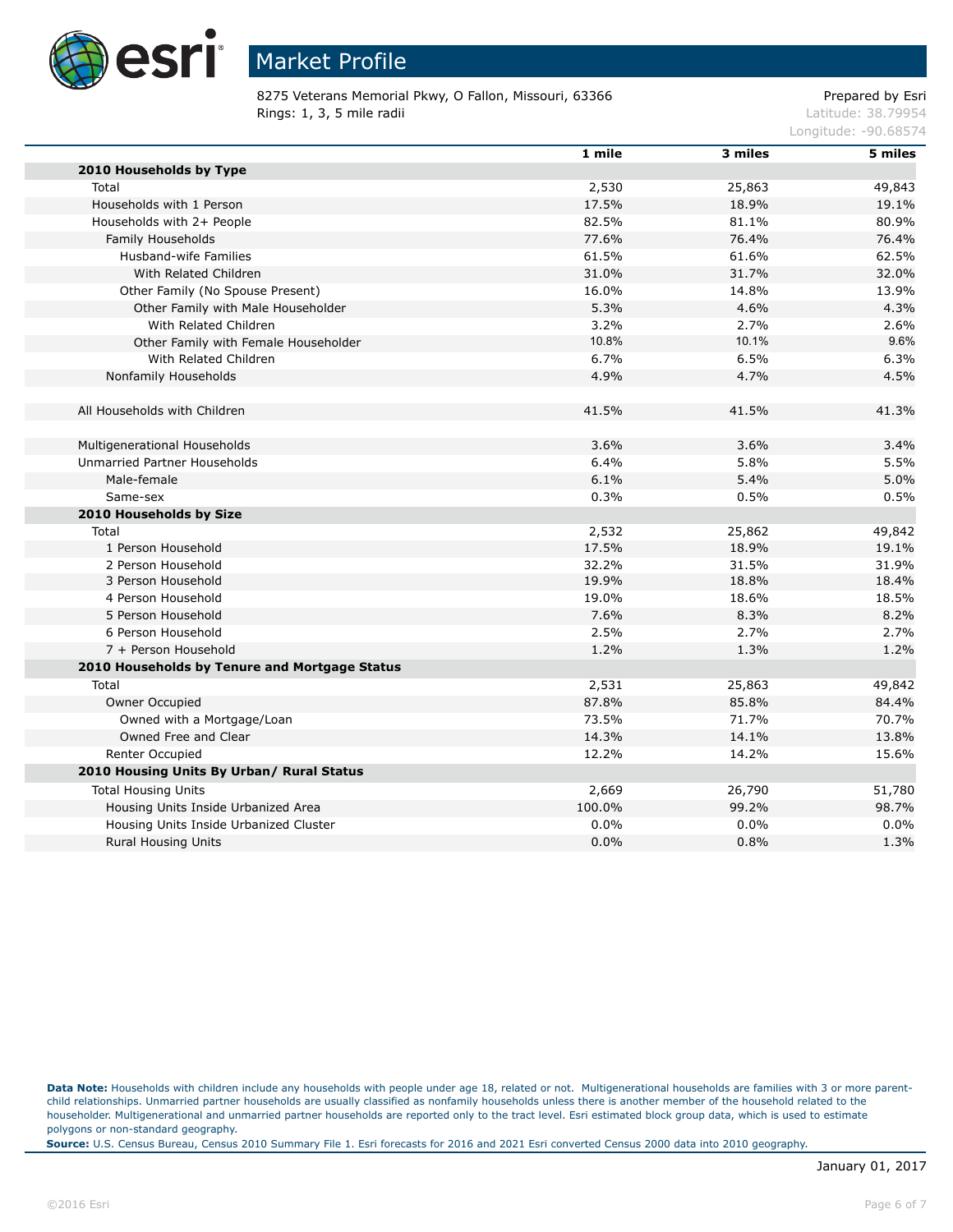

8275 Veterans Memorial Pkwy, O Fallon, Missouri, 63366 Prepared by Esri Rings: 1, 3, 5 mile radii and the state of the state of the contract of the latitude: 38.79954

Longitude: -90.68574

|                                               | 1 mile | 3 miles | 5 miles |
|-----------------------------------------------|--------|---------|---------|
| 2010 Households by Type                       |        |         |         |
| Total                                         | 2,530  | 25,863  | 49,843  |
| Households with 1 Person                      | 17.5%  | 18.9%   | 19.1%   |
| Households with 2+ People                     | 82.5%  | 81.1%   | 80.9%   |
| Family Households                             | 77.6%  | 76.4%   | 76.4%   |
| Husband-wife Families                         | 61.5%  | 61.6%   | 62.5%   |
| With Related Children                         | 31.0%  | 31.7%   | 32.0%   |
| Other Family (No Spouse Present)              | 16.0%  | 14.8%   | 13.9%   |
| Other Family with Male Householder            | 5.3%   | 4.6%    | 4.3%    |
| With Related Children                         | 3.2%   | 2.7%    | 2.6%    |
| Other Family with Female Householder          | 10.8%  | 10.1%   | 9.6%    |
| With Related Children                         | 6.7%   | 6.5%    | 6.3%    |
| Nonfamily Households                          | 4.9%   | 4.7%    | 4.5%    |
|                                               |        |         |         |
| All Households with Children                  | 41.5%  | 41.5%   | 41.3%   |
|                                               |        |         |         |
| Multigenerational Households                  | 3.6%   | 3.6%    | 3.4%    |
| Unmarried Partner Households                  | 6.4%   | 5.8%    | 5.5%    |
| Male-female                                   | 6.1%   | 5.4%    | 5.0%    |
| Same-sex                                      | 0.3%   | 0.5%    | 0.5%    |
| 2010 Households by Size                       |        |         |         |
| Total                                         | 2,532  | 25,862  | 49,842  |
| 1 Person Household                            | 17.5%  | 18.9%   | 19.1%   |
| 2 Person Household                            | 32.2%  | 31.5%   | 31.9%   |
| 3 Person Household                            | 19.9%  | 18.8%   | 18.4%   |
| 4 Person Household                            | 19.0%  | 18.6%   | 18.5%   |
| 5 Person Household                            | 7.6%   | 8.3%    | 8.2%    |
| 6 Person Household                            | 2.5%   | 2.7%    | 2.7%    |
| 7 + Person Household                          | 1.2%   | 1.3%    | 1.2%    |
| 2010 Households by Tenure and Mortgage Status |        |         |         |
| Total                                         | 2,531  | 25,863  | 49,842  |
| Owner Occupied                                | 87.8%  | 85.8%   | 84.4%   |
| Owned with a Mortgage/Loan                    | 73.5%  | 71.7%   | 70.7%   |
| Owned Free and Clear                          | 14.3%  | 14.1%   | 13.8%   |
| Renter Occupied                               | 12.2%  | 14.2%   | 15.6%   |
| 2010 Housing Units By Urban/ Rural Status     |        |         |         |
| <b>Total Housing Units</b>                    | 2,669  | 26,790  | 51,780  |
| Housing Units Inside Urbanized Area           | 100.0% | 99.2%   | 98.7%   |
| Housing Units Inside Urbanized Cluster        | 0.0%   | 0.0%    | 0.0%    |
| <b>Rural Housing Units</b>                    | 0.0%   | 0.8%    | 1.3%    |
|                                               |        |         |         |

Data Note: Households with children include any households with people under age 18, related or not. Multigenerational households are families with 3 or more parentchild relationships. Unmarried partner households are usually classified as nonfamily households unless there is another member of the household related to the householder. Multigenerational and unmarried partner households are reported only to the tract level. Esri estimated block group data, which is used to estimate polygons or non-standard geography.

**Source:** U.S. Census Bureau, Census 2010 Summary File 1. Esri forecasts for 2016 and 2021 Esri converted Census 2000 data into 2010 geography.